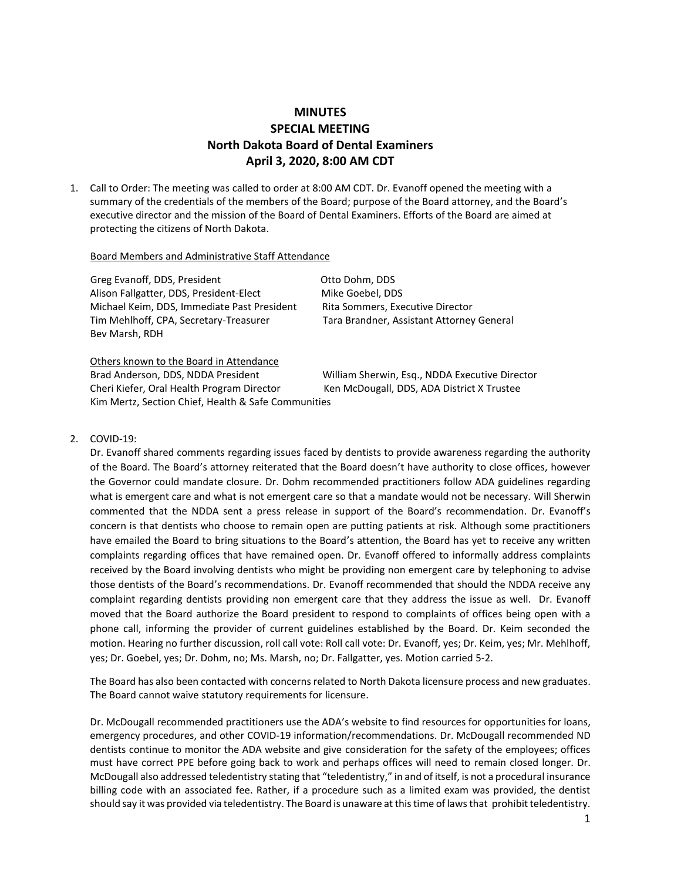## **MINUTES SPECIAL MEETING North Dakota Board of Dental Examiners April 3, 2020, 8:00 AM CDT**

1. Call to Order: The meeting was called to order at 8:00 AM CDT. Dr. Evanoff opened the meeting with a summary of the credentials of the members of the Board; purpose of the Board attorney, and the Board's executive director and the mission of the Board of Dental Examiners. Efforts of the Board are aimed at protecting the citizens of North Dakota.

## Board Members and Administrative Staff Attendance

Greg Evanoff, DDS, President Contract Communication Communication Otto Dohm, DDS Alison Fallgatter, DDS, President-Elect Mike Goebel, DDS Michael Keim, DDS, Immediate Past President Rita Sommers, Executive Director Tim Mehlhoff, CPA, Secretary-Treasurer Tara Brandner, Assistant Attorney General Bev Marsh, RDH

Others known to the Board in Attendance Brad Anderson, DDS, NDDA President William Sherwin, Esq., NDDA Executive Director Cheri Kiefer, Oral Health Program Director Ken McDougall, DDS, ADA District X Trustee Kim Mertz, Section Chief, Health & Safe Communities

## 2. COVID-19:

Dr. Evanoff shared comments regarding issues faced by dentists to provide awareness regarding the authority of the Board. The Board's attorney reiterated that the Board doesn't have authority to close offices, however the Governor could mandate closure. Dr. Dohm recommended practitioners follow ADA guidelines regarding what is emergent care and what is not emergent care so that a mandate would not be necessary. Will Sherwin commented that the NDDA sent a press release in support of the Board's recommendation. Dr. Evanoff's concern is that dentists who choose to remain open are putting patients at risk. Although some practitioners have emailed the Board to bring situations to the Board's attention, the Board has yet to receive any written complaints regarding offices that have remained open. Dr. Evanoff offered to informally address complaints received by the Board involving dentists who might be providing non emergent care by telephoning to advise those dentists of the Board's recommendations. Dr. Evanoff recommended that should the NDDA receive any complaint regarding dentists providing non emergent care that they address the issue as well. Dr. Evanoff moved that the Board authorize the Board president to respond to complaints of offices being open with a phone call, informing the provider of current guidelines established by the Board. Dr. Keim seconded the motion. Hearing no further discussion, roll call vote: Roll call vote: Dr. Evanoff, yes; Dr. Keim, yes; Mr. Mehlhoff, yes; Dr. Goebel, yes; Dr. Dohm, no; Ms. Marsh, no; Dr. Fallgatter, yes. Motion carried 5-2.

The Board has also been contacted with concerns related to North Dakota licensure process and new graduates. The Board cannot waive statutory requirements for licensure.

Dr. McDougall recommended practitioners use the ADA's website to find resources for opportunities for loans, emergency procedures, and other COVID-19 information/recommendations. Dr. McDougall recommended ND dentists continue to monitor the ADA website and give consideration for the safety of the employees; offices must have correct PPE before going back to work and perhaps offices will need to remain closed longer. Dr. McDougall also addressed teledentistry stating that "teledentistry," in and of itself, is not a procedural insurance billing code with an associated fee. Rather, if a procedure such as a limited exam was provided, the dentist should say it was provided via teledentistry. The Board is unaware at this time of laws that prohibit teledentistry.